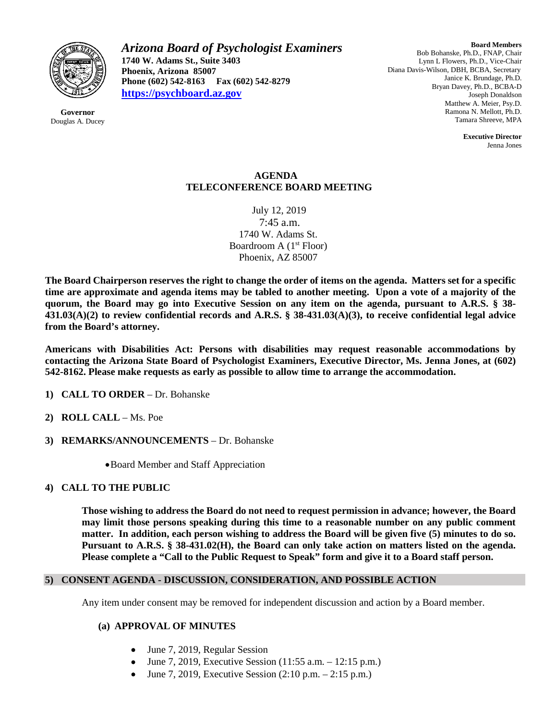

**Governor** Douglas A. Ducey *Arizona Board of Psychologist Examiners* **1740 W. Adams St., Suite 3403 Phoenix, Arizona 85007 Phone (602) 542-8163 Fax (602) 542-8279 [https://psychboard.az.gov](https://psychboard.az.gov/)**

**Board Members** Bob Bohanske, Ph.D., FNAP, Chair Lynn L Flowers, Ph.D., Vice-Chair Diana Davis-Wilson, DBH, BCBA, Secretary Janice K. Brundage, Ph.D. Bryan Davey, Ph.D., BCBA-D Joseph Donaldson Matthew A. Meier, Psy.D. Ramona N. Mellott, Ph.D. Tamara Shreeve, MPA

> **Executive Director** Jenna Jones

### **AGENDA TELECONFERENCE BOARD MEETING**

July 12, 2019 7:45 a.m. 1740 W. Adams St. Boardroom A  $(1<sup>st</sup>$  Floor) Phoenix, AZ 85007

**The Board Chairperson reserves the right to change the order of items on the agenda. Matters set for a specific time are approximate and agenda items may be tabled to another meeting. Upon a vote of a majority of the quorum, the Board may go into Executive Session on any item on the agenda, pursuant to A.R.S. § 38- 431.03(A)(2) to review confidential records and A.R.S. § 38-431.03(A)(3), to receive confidential legal advice from the Board's attorney.**

**Americans with Disabilities Act: Persons with disabilities may request reasonable accommodations by contacting the Arizona State Board of Psychologist Examiners, Executive Director, Ms. Jenna Jones, at (602) 542-8162. Please make requests as early as possible to allow time to arrange the accommodation.**

- **1) CALL TO ORDER** Dr. Bohanske
- **2) ROLL CALL** Ms. Poe
- **3) REMARKS/ANNOUNCEMENTS** Dr. Bohanske
	- •Board Member and Staff Appreciation

### **4) CALL TO THE PUBLIC**

**Those wishing to address the Board do not need to request permission in advance; however, the Board may limit those persons speaking during this time to a reasonable number on any public comment matter. In addition, each person wishing to address the Board will be given five (5) minutes to do so. Pursuant to A.R.S. § 38-431.02(H), the Board can only take action on matters listed on the agenda. Please complete a "Call to the Public Request to Speak" form and give it to a Board staff person.**

### **5) CONSENT AGENDA - DISCUSSION, CONSIDERATION, AND POSSIBLE ACTION**

Any item under consent may be removed for independent discussion and action by a Board member.

### **(a) APPROVAL OF MINUTES**

- June 7, 2019, Regular Session
- June 7, 2019, Executive Session  $(11:55 \text{ a.m.} 12:15 \text{ p.m.})$
- June 7, 2019, Executive Session (2:10 p.m. 2:15 p.m.)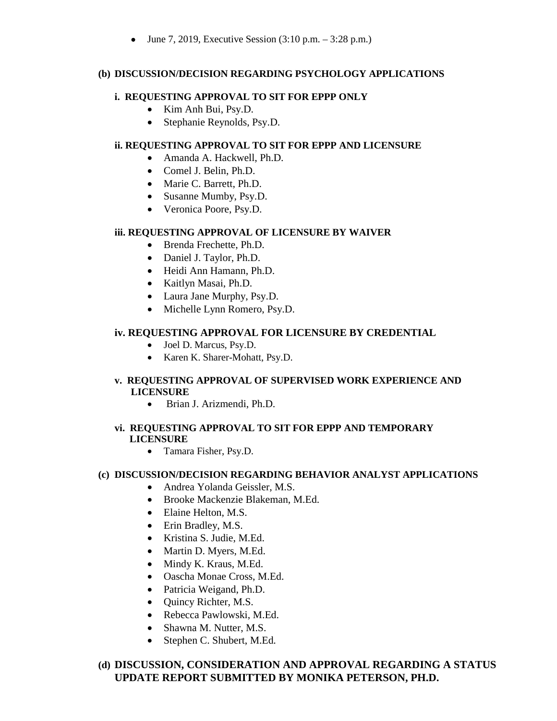• June 7, 2019, Executive Session  $(3:10 \text{ p.m.} - 3:28 \text{ p.m.})$ 

## **(b) DISCUSSION/DECISION REGARDING PSYCHOLOGY APPLICATIONS**

## **i. REQUESTING APPROVAL TO SIT FOR EPPP ONLY**

- Kim Anh Bui, Psy.D.
- Stephanie Reynolds, Psy.D.

# **ii. REQUESTING APPROVAL TO SIT FOR EPPP AND LICENSURE**

- Amanda A. Hackwell, Ph.D.
- Comel J. Belin, Ph.D.
- Marie C. Barrett, Ph.D.
- Susanne Mumby, Psy.D.
- Veronica Poore, Psy.D.

## **iii. REQUESTING APPROVAL OF LICENSURE BY WAIVER**

- Brenda Frechette, Ph.D.
- Daniel J. Taylor, Ph.D.
- Heidi Ann Hamann, Ph.D.
- Kaitlyn Masai, Ph.D.
- Laura Jane Murphy, Psy.D.
- Michelle Lynn Romero, Psy.D.

# **iv. REQUESTING APPROVAL FOR LICENSURE BY CREDENTIAL**

- Joel D. Marcus, Psy.D.
- Karen K. Sharer-Mohatt, Psy.D.

# **v. REQUESTING APPROVAL OF SUPERVISED WORK EXPERIENCE AND LICENSURE**

• Brian J. Arizmendi, Ph.D.

## **vi. REQUESTING APPROVAL TO SIT FOR EPPP AND TEMPORARY LICENSURE**

• Tamara Fisher, Psy.D.

### **(c) DISCUSSION/DECISION REGARDING BEHAVIOR ANALYST APPLICATIONS**

- Andrea Yolanda Geissler, M.S.
- Brooke Mackenzie Blakeman, M.Ed.
- Elaine Helton, M.S.
- Erin Bradley, M.S.
- Kristina S. Judie, M.Ed.
- Martin D. Myers, M.Ed.
- Mindy K. Kraus, M.Ed.
- Oascha Monae Cross, M.Ed.
- Patricia Weigand, Ph.D.
- Quincy Richter, M.S.
- Rebecca Pawlowski, M.Ed.
- Shawna M. Nutter, M.S.
- Stephen C. Shubert, M.Ed.

# **(d) DISCUSSION, CONSIDERATION AND APPROVAL REGARDING A STATUS UPDATE REPORT SUBMITTED BY MONIKA PETERSON, PH.D.**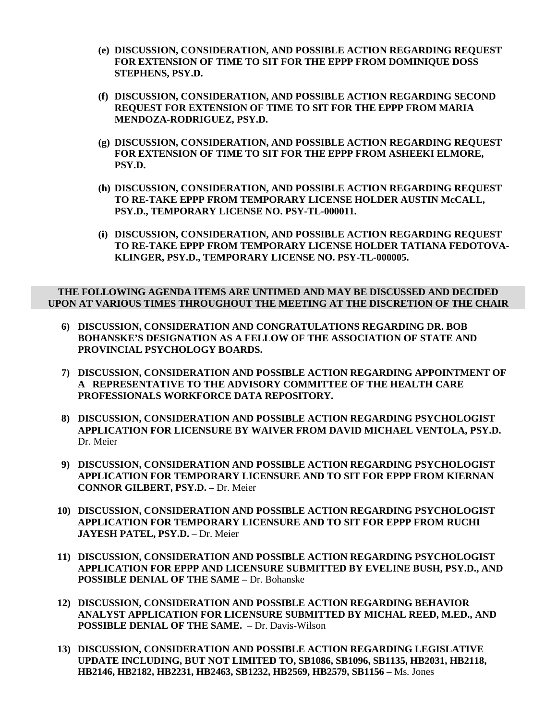- **(e) DISCUSSION, CONSIDERATION, AND POSSIBLE ACTION REGARDING REQUEST FOR EXTENSION OF TIME TO SIT FOR THE EPPP FROM DOMINIQUE DOSS STEPHENS, PSY.D.**
- **(f) DISCUSSION, CONSIDERATION, AND POSSIBLE ACTION REGARDING SECOND REQUEST FOR EXTENSION OF TIME TO SIT FOR THE EPPP FROM MARIA MENDOZA-RODRIGUEZ, PSY.D.**
- **(g) DISCUSSION, CONSIDERATION, AND POSSIBLE ACTION REGARDING REQUEST FOR EXTENSION OF TIME TO SIT FOR THE EPPP FROM ASHEEKI ELMORE, PSY.D.**
- **(h) DISCUSSION, CONSIDERATION, AND POSSIBLE ACTION REGARDING REQUEST TO RE-TAKE EPPP FROM TEMPORARY LICENSE HOLDER AUSTIN McCALL, PSY.D., TEMPORARY LICENSE NO. PSY-TL-000011.**
- **(i) DISCUSSION, CONSIDERATION, AND POSSIBLE ACTION REGARDING REQUEST TO RE-TAKE EPPP FROM TEMPORARY LICENSE HOLDER TATIANA FEDOTOVA-KLINGER, PSY.D., TEMPORARY LICENSE NO. PSY-TL-000005.**

### **THE FOLLOWING AGENDA ITEMS ARE UNTIMED AND MAY BE DISCUSSED AND DECIDED UPON AT VARIOUS TIMES THROUGHOUT THE MEETING AT THE DISCRETION OF THE CHAIR**

- **6) DISCUSSION, CONSIDERATION AND CONGRATULATIONS REGARDING DR. BOB BOHANSKE'S DESIGNATION AS A FELLOW OF THE ASSOCIATION OF STATE AND PROVINCIAL PSYCHOLOGY BOARDS.**
- **7) DISCUSSION, CONSIDERATION AND POSSIBLE ACTION REGARDING APPOINTMENT OF A REPRESENTATIVE TO THE ADVISORY COMMITTEE OF THE HEALTH CARE PROFESSIONALS WORKFORCE DATA REPOSITORY.**
- **8) DISCUSSION, CONSIDERATION AND POSSIBLE ACTION REGARDING PSYCHOLOGIST APPLICATION FOR LICENSURE BY WAIVER FROM DAVID MICHAEL VENTOLA, PSY.D.**  Dr. Meier
- **9) DISCUSSION, CONSIDERATION AND POSSIBLE ACTION REGARDING PSYCHOLOGIST APPLICATION FOR TEMPORARY LICENSURE AND TO SIT FOR EPPP FROM KIERNAN CONNOR GILBERT, PSY.D. –** Dr. Meier
- **10) DISCUSSION, CONSIDERATION AND POSSIBLE ACTION REGARDING PSYCHOLOGIST APPLICATION FOR TEMPORARY LICENSURE AND TO SIT FOR EPPP FROM RUCHI JAYESH PATEL, PSY.D.** – Dr. Meier
- **11) DISCUSSION, CONSIDERATION AND POSSIBLE ACTION REGARDING PSYCHOLOGIST APPLICATION FOR EPPP AND LICENSURE SUBMITTED BY EVELINE BUSH, PSY.D., AND POSSIBLE DENIAL OF THE SAME** – Dr. Bohanske
- **12) DISCUSSION, CONSIDERATION AND POSSIBLE ACTION REGARDING BEHAVIOR ANALYST APPLICATION FOR LICENSURE SUBMITTED BY MICHAL REED, M.ED., AND POSSIBLE DENIAL OF THE SAME.** – Dr. Davis-Wilson
- **13) DISCUSSION, CONSIDERATION AND POSSIBLE ACTION REGARDING LEGISLATIVE UPDATE INCLUDING, BUT NOT LIMITED TO, SB1086, SB1096, SB1135, HB2031, HB2118, HB2146, HB2182, HB2231, HB2463, SB1232, HB2569, HB2579, SB1156 –** Ms. Jones